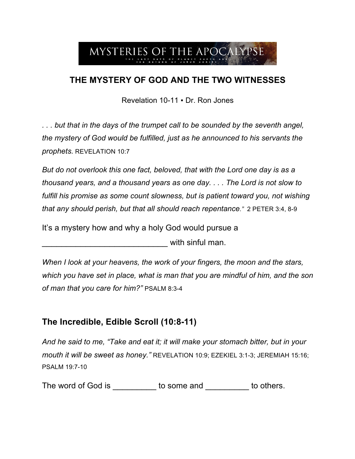

## **THE MYSTERY OF GOD AND THE TWO WITNESSES**

Revelation 10-11 ▪ Dr. Ron Jones

*. . . but that in the days of the trumpet call to be sounded by the seventh angel, the mystery of God would be fulfilled, just as he announced to his servants the prophets.* REVELATION 10:7

*But do not overlook this one fact, beloved, that with the Lord one day is as a thousand years, and a thousand years as one day. . . . The Lord is not slow to*  fulfill his promise as some count slowness, but is patient toward you, not wishing *that any should perish, but that all should reach repentance."* 2 PETER 3:4, 8-9

It's a mystery how and why a holy God would pursue a

 $\blacksquare$  with sinful man.

*When I look at your heavens, the work of your fingers, the moon and the stars, which you have set in place, what is man that you are mindful of him, and the son of man that you care for him?"* PSALM 8:3-4

## **The Incredible, Edible Scroll (10:8-11)**

*And he said to me, "Take and eat it; it will make your stomach bitter, but in your mouth it will be sweet as honey."* REVELATION 10:9; EZEKIEL 3:1-3; JEREMIAH 15:16; PSALM 19:7-10

The word of God is to some and to others.